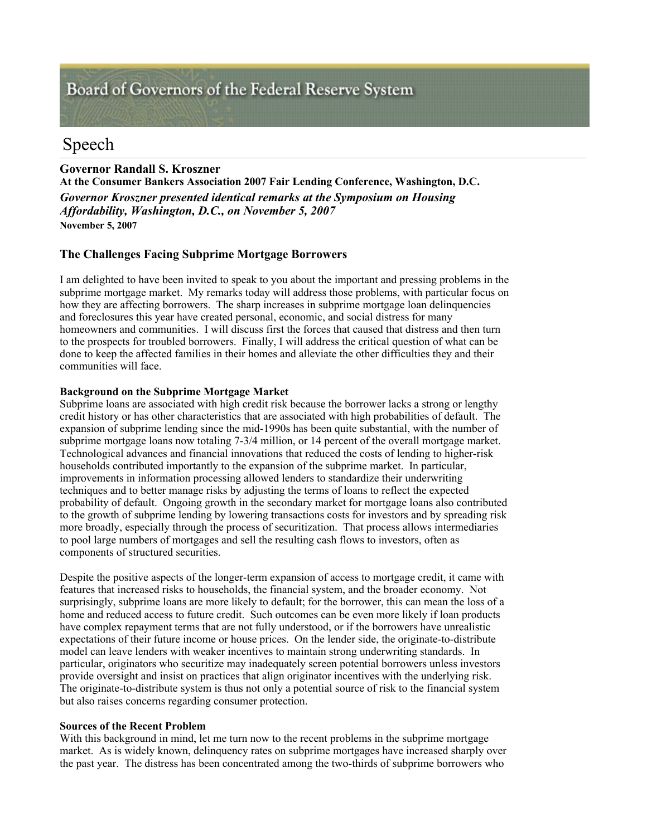# Board of Governors of the Federal Reserve System

# Speech

# **Governor Randall S. Kroszner**

**At the Consumer Bankers Association 2007 Fair Lending Conference, Washington, D.C.** *Governor Kroszner presented identical remarks at the Symposium on Housing Affordability, Washington, D.C., on November 5, 2007* **November 5, 2007** 

## **The Challenges Facing Subprime Mortgage Borrowers**

I am delighted to have been invited to speak to you about the important and pressing problems in the subprime mortgage market. My remarks today will address those problems, with particular focus on how they are affecting borrowers. The sharp increases in subprime mortgage loan delinquencies and foreclosures this year have created personal, economic, and social distress for many homeowners and communities. I will discuss first the forces that caused that distress and then turn to the prospects for troubled borrowers. Finally, I will address the critical question of what can be done to keep the affected families in their homes and alleviate the other difficulties they and their communities will face.

### **Background on the Subprime Mortgage Market**

Subprime loans are associated with high credit risk because the borrower lacks a strong or lengthy credit history or has other characteristics that are associated with high probabilities of default. The expansion of subprime lending since the mid-1990s has been quite substantial, with the number of subprime mortgage loans now totaling 7-3/4 million, or 14 percent of the overall mortgage market. Technological advances and financial innovations that reduced the costs of lending to higher-risk households contributed importantly to the expansion of the subprime market. In particular, improvements in information processing allowed lenders to standardize their underwriting techniques and to better manage risks by adjusting the terms of loans to reflect the expected probability of default. Ongoing growth in the secondary market for mortgage loans also contributed to the growth of subprime lending by lowering transactions costs for investors and by spreading risk more broadly, especially through the process of securitization. That process allows intermediaries to pool large numbers of mortgages and sell the resulting cash flows to investors, often as components of structured securities.

Despite the positive aspects of the longer-term expansion of access to mortgage credit, it came with features that increased risks to households, the financial system, and the broader economy. Not surprisingly, subprime loans are more likely to default; for the borrower, this can mean the loss of a home and reduced access to future credit. Such outcomes can be even more likely if loan products have complex repayment terms that are not fully understood, or if the borrowers have unrealistic expectations of their future income or house prices. On the lender side, the originate-to-distribute model can leave lenders with weaker incentives to maintain strong underwriting standards. In particular, originators who securitize may inadequately screen potential borrowers unless investors provide oversight and insist on practices that align originator incentives with the underlying risk. The originate-to-distribute system is thus not only a potential source of risk to the financial system but also raises concerns regarding consumer protection.

### **Sources of the Recent Problem**

With this background in mind, let me turn now to the recent problems in the subprime mortgage market. As is widely known, delinquency rates on subprime mortgages have increased sharply over the past year. The distress has been concentrated among the two-thirds of subprime borrowers who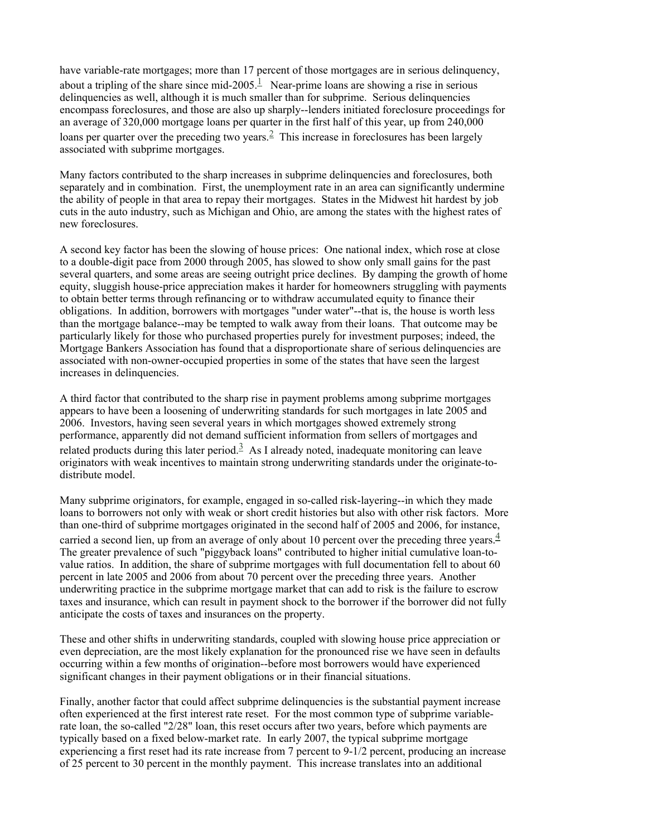have variable-rate mortgages; more than 17 percent of those mortgages are in serious delinquency, about a tripling of the share since mid-2005.<sup>1</sup> Near-prime loans are showing a rise in serious delinquencies as well, although it is much smaller than for subprime. Serious delinquencies encompass foreclosures, and those are also up sharply--lenders initiated foreclosure proceedings for an average of 320,000 mortgage loans per quarter in the first half of this year, up from 240,000 loans per quarter over the preceding two years.<sup>2</sup> This increase in foreclosures has been largely associated with subprime mortgages.

Many factors contributed to the sharp increases in subprime delinquencies and foreclosures, both separately and in combination. First, the unemployment rate in an area can significantly undermine the ability of people in that area to repay their mortgages. States in the Midwest hit hardest by job cuts in the auto industry, such as Michigan and Ohio, are among the states with the highest rates of new foreclosures.

A second key factor has been the slowing of house prices: One national index, which rose at close to a double-digit pace from 2000 through 2005, has slowed to show only small gains for the past several quarters, and some areas are seeing outright price declines. By damping the growth of home equity, sluggish house-price appreciation makes it harder for homeowners struggling with payments to obtain better terms through refinancing or to withdraw accumulated equity to finance their obligations. In addition, borrowers with mortgages "under water"--that is, the house is worth less than the mortgage balance--may be tempted to walk away from their loans. That outcome may be particularly likely for those who purchased properties purely for investment purposes; indeed, the Mortgage Bankers Association has found that a disproportionate share of serious delinquencies are associated with non-owner-occupied properties in some of the states that have seen the largest increases in delinquencies.

A third factor that contributed to the sharp rise in payment problems among subprime mortgages appears to have been a loosening of underwriting standards for such mortgages in late 2005 and 2006. Investors, having seen several years in which mortgages showed extremely strong performance, apparently did not demand sufficient information from sellers of mortgages and related products during this later period.<sup>3</sup> As I already noted, inadequate monitoring can leave originators with weak incentives to maintain strong underwriting standards under the originate-todistribute model.

Many subprime originators, for example, engaged in so-called risk-layering--in which they made loans to borrowers not only with weak or short credit histories but also with other risk factors. More than one-third of subprime mortgages originated in the second half of 2005 and 2006, for instance, carried a second lien, up from an average of only about 10 percent over the preceding three years. $\frac{4}{3}$ The greater prevalence of such "piggyback loans" contributed to higher initial cumulative loan-tovalue ratios. In addition, the share of subprime mortgages with full documentation fell to about 60 percent in late 2005 and 2006 from about 70 percent over the preceding three years. Another underwriting practice in the subprime mortgage market that can add to risk is the failure to escrow taxes and insurance, which can result in payment shock to the borrower if the borrower did not fully anticipate the costs of taxes and insurances on the property.

These and other shifts in underwriting standards, coupled with slowing house price appreciation or even depreciation, are the most likely explanation for the pronounced rise we have seen in defaults occurring within a few months of origination--before most borrowers would have experienced significant changes in their payment obligations or in their financial situations.

Finally, another factor that could affect subprime delinquencies is the substantial payment increase often experienced at the first interest rate reset. For the most common type of subprime variablerate loan, the so-called "2/28" loan, this reset occurs after two years, before which payments are typically based on a fixed below-market rate. In early 2007, the typical subprime mortgage experiencing a first reset had its rate increase from 7 percent to 9-1/2 percent, producing an increase of 25 percent to 30 percent in the monthly payment. This increase translates into an additional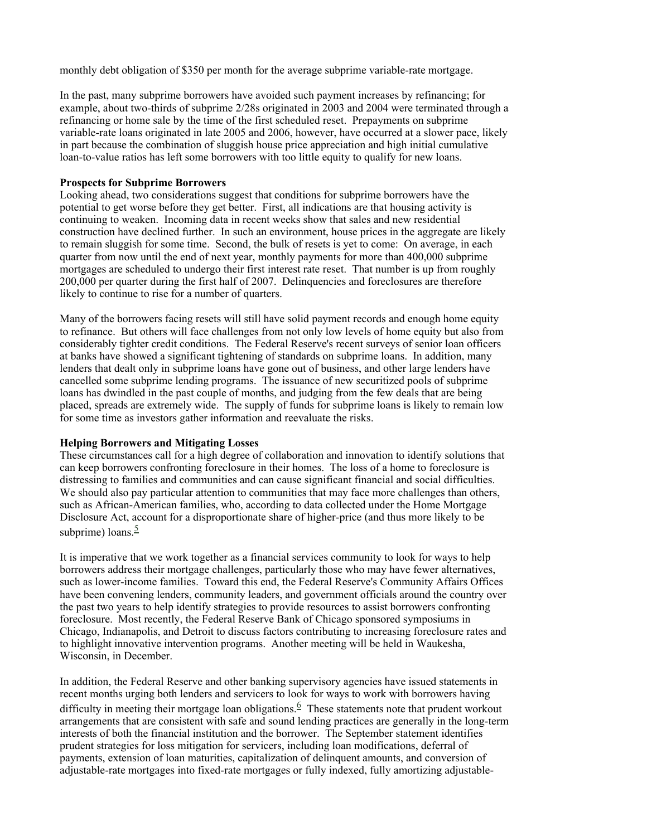monthly debt obligation of \$350 per month for the average subprime variable-rate mortgage.

In the past, many subprime borrowers have avoided such payment increases by refinancing; for example, about two-thirds of subprime 2/28s originated in 2003 and 2004 were terminated through a refinancing or home sale by the time of the first scheduled reset. Prepayments on subprime variable-rate loans originated in late 2005 and 2006, however, have occurred at a slower pace, likely in part because the combination of sluggish house price appreciation and high initial cumulative loan-to-value ratios has left some borrowers with too little equity to qualify for new loans.

#### **Prospects for Subprime Borrowers**

Looking ahead, two considerations suggest that conditions for subprime borrowers have the potential to get worse before they get better. First, all indications are that housing activity is continuing to weaken. Incoming data in recent weeks show that sales and new residential construction have declined further. In such an environment, house prices in the aggregate are likely to remain sluggish for some time. Second, the bulk of resets is yet to come: On average, in each quarter from now until the end of next year, monthly payments for more than 400,000 subprime mortgages are scheduled to undergo their first interest rate reset. That number is up from roughly 200,000 per quarter during the first half of 2007. Delinquencies and foreclosures are therefore likely to continue to rise for a number of quarters.

Many of the borrowers facing resets will still have solid payment records and enough home equity to refinance. But others will face challenges from not only low levels of home equity but also from considerably tighter credit conditions. The Federal Reserve's recent surveys of senior loan officers at banks have showed a significant tightening of standards on subprime loans. In addition, many lenders that dealt only in subprime loans have gone out of business, and other large lenders have cancelled some subprime lending programs. The issuance of new securitized pools of subprime loans has dwindled in the past couple of months, and judging from the few deals that are being placed, spreads are extremely wide. The supply of funds for subprime loans is likely to remain low for some time as investors gather information and reevaluate the risks.

#### **Helping Borrowers and Mitigating Losses**

These circumstances call for a high degree of collaboration and innovation to identify solutions that can keep borrowers confronting foreclosure in their homes. The loss of a home to foreclosure is distressing to families and communities and can cause significant financial and social difficulties. We should also pay particular attention to communities that may face more challenges than others, such as African-American families, who, according to data collected under the Home Mortgage Disclosure Act, account for a disproportionate share of higher-price (and thus more likely to be subprime) loans. $\frac{5}{5}$ 

It is imperative that we work together as a financial services community to look for ways to help borrowers address their mortgage challenges, particularly those who may have fewer alternatives, such as lower-income families. Toward this end, the Federal Reserve's Community Affairs Offices have been convening lenders, community leaders, and government officials around the country over the past two years to help identify strategies to provide resources to assist borrowers confronting foreclosure. Most recently, the Federal Reserve Bank of Chicago sponsored symposiums in Chicago, Indianapolis, and Detroit to discuss factors contributing to increasing foreclosure rates and to highlight innovative intervention programs. Another meeting will be held in Waukesha, Wisconsin, in December.

In addition, the Federal Reserve and other banking supervisory agencies have issued statements in recent months urging both lenders and servicers to look for ways to work with borrowers having difficulty in meeting their mortgage loan obligations.  $6$  These statements note that prudent workout arrangements that are consistent with safe and sound lending practices are generally in the long-term interests of both the financial institution and the borrower. The September statement identifies prudent strategies for loss mitigation for servicers, including loan modifications, deferral of payments, extension of loan maturities, capitalization of delinquent amounts, and conversion of adjustable-rate mortgages into fixed-rate mortgages or fully indexed, fully amortizing adjustable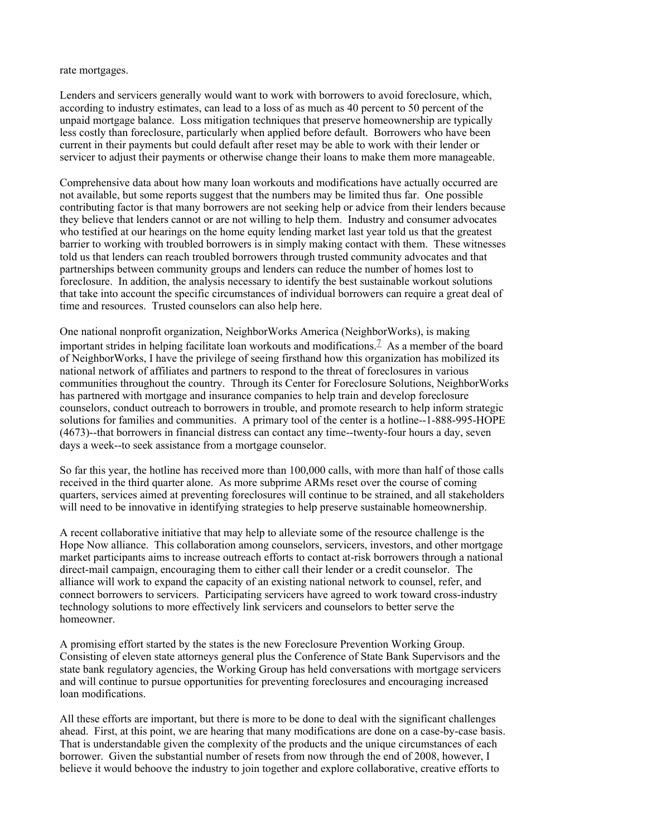rate mortgages.

Lenders and servicers generally would want to work with borrowers to avoid foreclosure, which, according to industry estimates, can lead to a loss of as much as 40 percent to 50 percent of the unpaid mortgage balance. Loss mitigation techniques that preserve homeownership are typically less costly than foreclosure, particularly when applied before default. Borrowers who have been current in their payments but could default after reset may be able to work with their lender or servicer to adjust their payments or otherwise change their loans to make them more manageable.

Comprehensive data about how many loan workouts and modifications have actually occurred are not available, but some reports suggest that the numbers may be limited thus far. One possible contributing factor is that many borrowers are not seeking help or advice from their lenders because they believe that lenders cannot or are not willing to help them. Industry and consumer advocates who testified at our hearings on the home equity lending market last year told us that the greatest barrier to working with troubled borrowers is in simply making contact with them. These witnesses told us that lenders can reach troubled borrowers through trusted community advocates and that partnerships between community groups and lenders can reduce the number of homes lost to foreclosure. In addition, the analysis necessary to identify the best sustainable workout solutions that take into account the specific circumstances of individual borrowers can require a great deal of time and resources. Trusted counselors can also help here.

One national nonprofit organization, NeighborWorks America (NeighborWorks), is making important strides in helping facilitate loan workouts and modifications.<sup>7</sup> As a member of the board of NeighborWorks, I have the privilege of seeing firsthand how this organization has mobilized its national network of affiliates and partners to respond to the threat of foreclosures in various communities throughout the country. Through its Center for Foreclosure Solutions, NeighborWorks has partnered with mortgage and insurance companies to help train and develop foreclosure counselors, conduct outreach to borrowers in trouble, and promote research to help inform strategic solutions for families and communities. A primary tool of the center is a hotline--1-888-995-HOPE (4673)--that borrowers in financial distress can contact any time--twenty-four hours a day, seven days a week--to seek assistance from a mortgage counselor.

So far this year, the hotline has received more than 100,000 calls, with more than half of those calls received in the third quarter alone. As more subprime ARMs reset over the course of coming quarters, services aimed at preventing foreclosures will continue to be strained, and all stakeholders will need to be innovative in identifying strategies to help preserve sustainable homeownership.

A recent collaborative initiative that may help to alleviate some of the resource challenge is the Hope Now alliance. This collaboration among counselors, servicers, investors, and other mortgage market participants aims to increase outreach efforts to contact at-risk borrowers through a national direct-mail campaign, encouraging them to either call their lender or a credit counselor. The alliance will work to expand the capacity of an existing national network to counsel, refer, and connect borrowers to servicers. Participating servicers have agreed to work toward cross-industry technology solutions to more effectively link servicers and counselors to better serve the homeowner.

A promising effort started by the states is the new Foreclosure Prevention Working Group. Consisting of eleven state attorneys general plus the Conference of State Bank Supervisors and the state bank regulatory agencies, the Working Group has held conversations with mortgage servicers and will continue to pursue opportunities for preventing foreclosures and encouraging increased loan modifications.

All these efforts are important, but there is more to be done to deal with the significant challenges ahead. First, at this point, we are hearing that many modifications are done on a case-by-case basis. That is understandable given the complexity of the products and the unique circumstances of each borrower. Given the substantial number of resets from now through the end of 2008, however, I believe it would behoove the industry to join together and explore collaborative, creative efforts to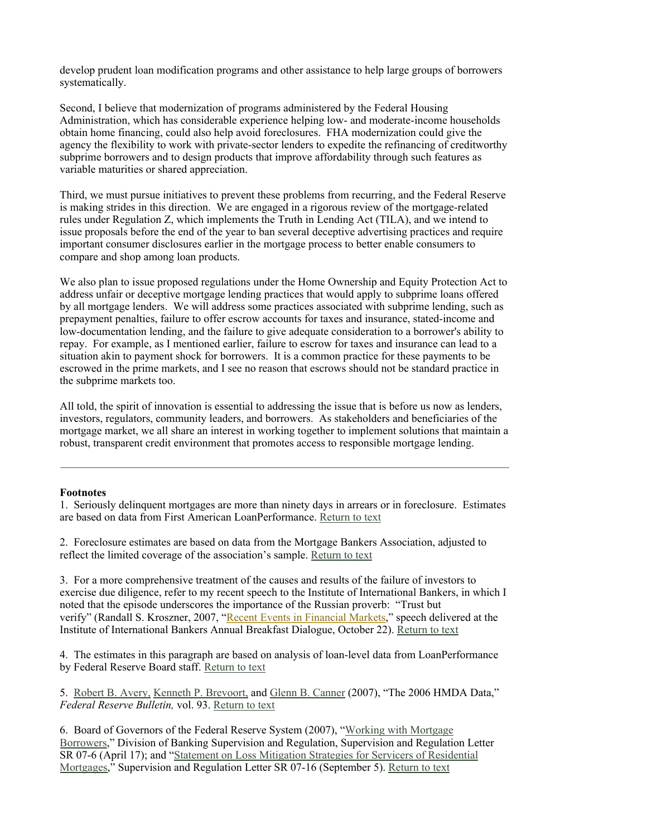develop prudent loan modification programs and other assistance to help large groups of borrowers systematically.

Second, I believe that modernization of programs administered by the Federal Housing Administration, which has considerable experience helping low- and moderate-income households obtain home financing, could also help avoid foreclosures. FHA modernization could give the agency the flexibility to work with private-sector lenders to expedite the refinancing of creditworthy subprime borrowers and to design products that improve affordability through such features as variable maturities or shared appreciation.

Third, we must pursue initiatives to prevent these problems from recurring, and the Federal Reserve is making strides in this direction. We are engaged in a rigorous review of the mortgage-related rules under Regulation Z, which implements the Truth in Lending Act (TILA), and we intend to issue proposals before the end of the year to ban several deceptive advertising practices and require important consumer disclosures earlier in the mortgage process to better enable consumers to compare and shop among loan products.

We also plan to issue proposed regulations under the Home Ownership and Equity Protection Act to address unfair or deceptive mortgage lending practices that would apply to subprime loans offered by all mortgage lenders. We will address some practices associated with subprime lending, such as prepayment penalties, failure to offer escrow accounts for taxes and insurance, stated-income and low-documentation lending, and the failure to give adequate consideration to a borrower's ability to repay. For example, as I mentioned earlier, failure to escrow for taxes and insurance can lead to a situation akin to payment shock for borrowers. It is a common practice for these payments to be escrowed in the prime markets, and I see no reason that escrows should not be standard practice in the subprime markets too.

All told, the spirit of innovation is essential to addressing the issue that is before us now as lenders, investors, regulators, community leaders, and borrowers. As stakeholders and beneficiaries of the mortgage market, we all share an interest in working together to implement solutions that maintain a robust, transparent credit environment that promotes access to responsible mortgage lending.

#### **Footnotes**

1. Seriously delinquent mortgages are more than ninety days in arrears or in foreclosure. Estimates are based on data from First American LoanPerformance. Return to text

2. Foreclosure estimates are based on data from the Mortgage Bankers Association, adjusted to reflect the limited coverage of the association's sample. Return to text

3. For a more comprehensive treatment of the causes and results of the failure of investors to exercise due diligence, refer to my recent speech to the Institute of International Bankers, in which I noted that the episode underscores the importance of the Russian proverb: "Trust but verify" (Randall S. Kroszner, 2007, "Recent Events in Financial Markets," speech delivered at the Institute of International Bankers Annual Breakfast Dialogue, October 22). Return to text

4. The estimates in this paragraph are based on analysis of loan-level data from LoanPerformance by Federal Reserve Board staff. Return to text

5. Robert B. Avery, Kenneth P. Brevoort, and Glenn B. Canner (2007), "The 2006 HMDA Data," *Federal Reserve Bulletin,* vol. 93. Return to text

6. Board of Governors of the Federal Reserve System (2007), "Working with Mortgage Borrowers," Division of Banking Supervision and Regulation, Supervision and Regulation Letter SR 07-6 (April 17); and "Statement on Loss Mitigation Strategies for Servicers of Residential Mortgages," Supervision and Regulation Letter SR 07-16 (September 5). Return to text